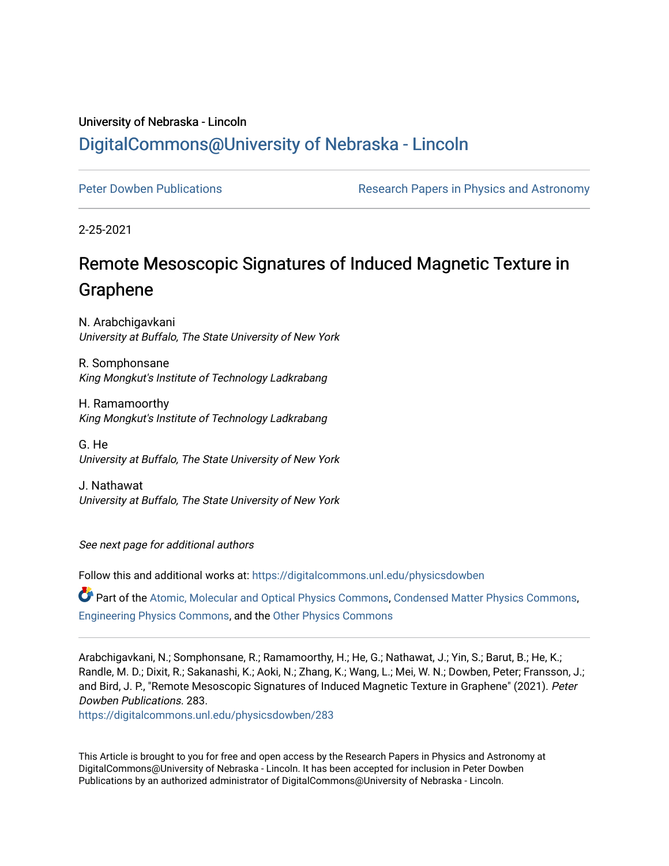## University of Nebraska - Lincoln [DigitalCommons@University of Nebraska - Lincoln](https://digitalcommons.unl.edu/)

[Peter Dowben Publications](https://digitalcommons.unl.edu/physicsdowben) **Research Papers in Physics and Astronomy** 

2-25-2021

## Remote Mesoscopic Signatures of Induced Magnetic Texture in Graphene

N. Arabchigavkani University at Buffalo, The State University of New York

R. Somphonsane King Mongkut's Institute of Technology Ladkrabang

H. Ramamoorthy King Mongkut's Institute of Technology Ladkrabang

G. He University at Buffalo, The State University of New York

J. Nathawat University at Buffalo, The State University of New York

See next page for additional authors

Follow this and additional works at: [https://digitalcommons.unl.edu/physicsdowben](https://digitalcommons.unl.edu/physicsdowben?utm_source=digitalcommons.unl.edu%2Fphysicsdowben%2F283&utm_medium=PDF&utm_campaign=PDFCoverPages) 

Part of the [Atomic, Molecular and Optical Physics Commons,](http://network.bepress.com/hgg/discipline/195?utm_source=digitalcommons.unl.edu%2Fphysicsdowben%2F283&utm_medium=PDF&utm_campaign=PDFCoverPages) [Condensed Matter Physics Commons](http://network.bepress.com/hgg/discipline/197?utm_source=digitalcommons.unl.edu%2Fphysicsdowben%2F283&utm_medium=PDF&utm_campaign=PDFCoverPages), [Engineering Physics Commons,](http://network.bepress.com/hgg/discipline/200?utm_source=digitalcommons.unl.edu%2Fphysicsdowben%2F283&utm_medium=PDF&utm_campaign=PDFCoverPages) and the [Other Physics Commons](http://network.bepress.com/hgg/discipline/207?utm_source=digitalcommons.unl.edu%2Fphysicsdowben%2F283&utm_medium=PDF&utm_campaign=PDFCoverPages) 

Arabchigavkani, N.; Somphonsane, R.; Ramamoorthy, H.; He, G.; Nathawat, J.; Yin, S.; Barut, B.; He, K.; Randle, M. D.; Dixit, R.; Sakanashi, K.; Aoki, N.; Zhang, K.; Wang, L.; Mei, W. N.; Dowben, Peter; Fransson, J.; and Bird, J. P., "Remote Mesoscopic Signatures of Induced Magnetic Texture in Graphene" (2021). Peter Dowben Publications. 283.

[https://digitalcommons.unl.edu/physicsdowben/283](https://digitalcommons.unl.edu/physicsdowben/283?utm_source=digitalcommons.unl.edu%2Fphysicsdowben%2F283&utm_medium=PDF&utm_campaign=PDFCoverPages) 

This Article is brought to you for free and open access by the Research Papers in Physics and Astronomy at DigitalCommons@University of Nebraska - Lincoln. It has been accepted for inclusion in Peter Dowben Publications by an authorized administrator of DigitalCommons@University of Nebraska - Lincoln.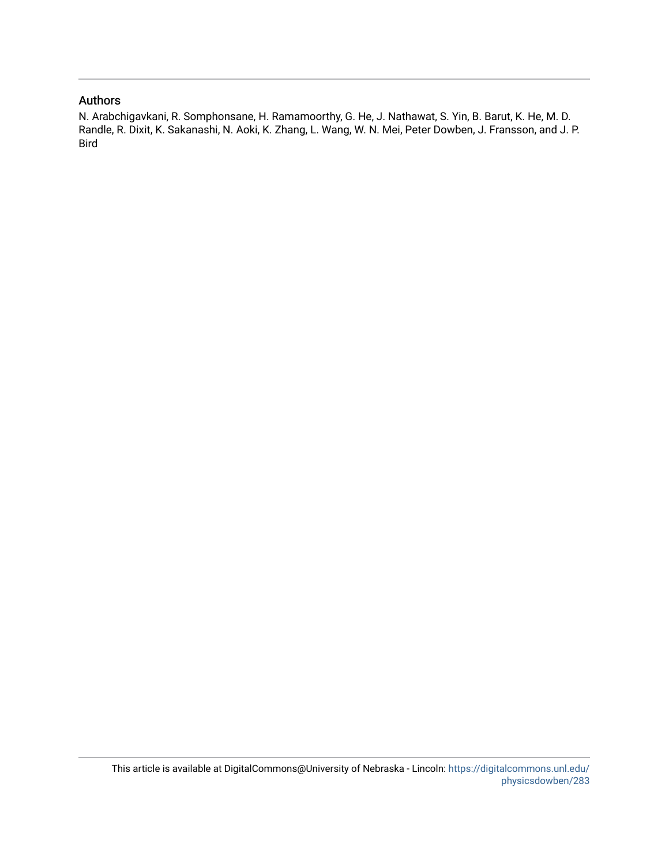## Authors

N. Arabchigavkani, R. Somphonsane, H. Ramamoorthy, G. He, J. Nathawat, S. Yin, B. Barut, K. He, M. D. Randle, R. Dixit, K. Sakanashi, N. Aoki, K. Zhang, L. Wang, W. N. Mei, Peter Dowben, J. Fransson, and J. P. Bird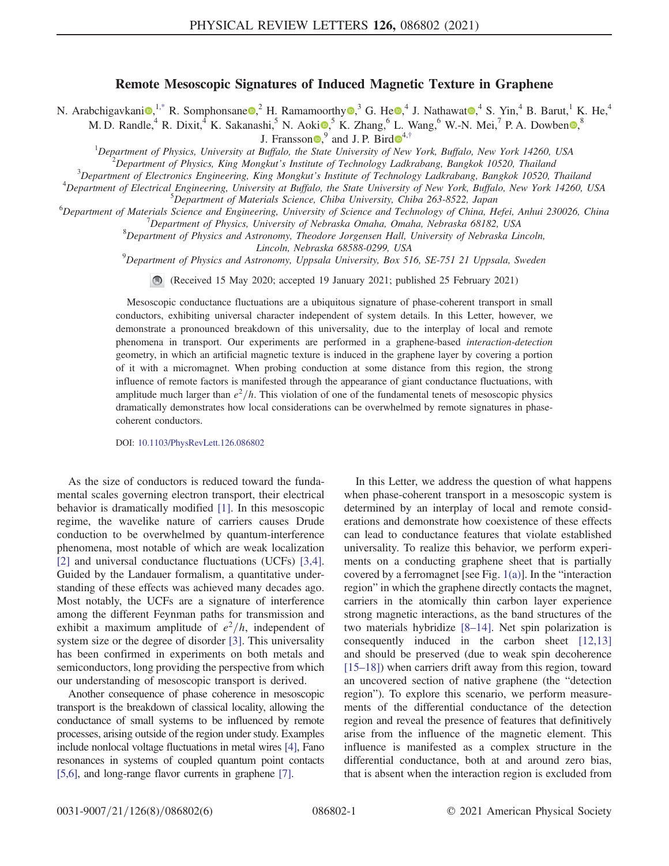## Remote Mesoscopic Signatures of Induced Magnetic Texture in Graphene

<span id="page-2-0"></span>N. Arabchigavkani $\mathbf{Q}^{1,*}$  $\mathbf{Q}^{1,*}$  $\mathbf{Q}^{1,*}$  R. Somphonsane  $\mathbf{Q}^2$ . H. Ramamoorthy  $\mathbf{Q}^3$ , G. He  $\mathbf{Q}^4$ , J. Nathawat  $\mathbf{Q}^4$ , S. Yin, <sup>4</sup> B. Barut, <sup>1</sup> K. He, <sup>4</sup>

<span id="page-2-1"></span>M. D. Randle,<sup>4</sup> R. Dixit,<sup>4</sup> K. Sakanashi,<sup>5</sup> N. Aoki $\Phi$ ,<sup>5</sup> K. Zhang,<sup>6</sup> L. Wang,<sup>6</sup> W.-N. Mei,<sup>7</sup> P. A. Dowben  $\Phi$ ,<sup>8</sup>

J. Fransson $\bullet$ , and J. P. Bird $\bullet$ <sup>[4](https://orcid.org/0000-0002-6966-9007),[†](#page-6-1)</sup>

<sup>1</sup>Department of Physics, University at Buffalo, the State University of New York, Buffalo, New York 14260, USA  $^{2}$ Department of Physics, King Monglut's Institute of Technology Ladkrabang, Panglud 10520, Theiland

 $B^2$ Department of Physics, King Mongkut's Institute of Technology Ladkrabang, Bangkok 10520, Thailand

 $3$ Department of Electronics Engineering, King Mongkut's Institute of Technology Ladkrabang, Bangkok 10520, Thailand

 $^4$ Department of Electrical Engineering, University at Buffalo, the State University of New York, Buffalo, New York 14260, USA

<sup>5</sup>Department of Materials Science, Chiba University, Chiba 263-8522, Japan

 $^6$ Department of Materials Science and Engineering, University of Science and Technology of China, Hefei, Anhui 230026, China

Department of Physics, University of Nebraska Omaha, Omaha, Nebraska 68182, USA  ${}^{8}$ Department of Physics and Astronomy, Theodore Jorgensen Hall, University of Nebraska Lincoln,

Lincoln, Nebraska 68588-0299, USA<br><sup>9</sup>Department of Physics and Astronomy, Uppsala University, Box 516, SE-751 21 Uppsala, Sweden

(Received 15 May 2020; accepted 19 January 2021; published 25 February 2021)

Mesoscopic conductance fluctuations are a ubiquitous signature of phase-coherent transport in small conductors, exhibiting universal character independent of system details. In this Letter, however, we demonstrate a pronounced breakdown of this universality, due to the interplay of local and remote phenomena in transport. Our experiments are performed in a graphene-based interaction-detection geometry, in which an artificial magnetic texture is induced in the graphene layer by covering a portion of it with a micromagnet. When probing conduction at some distance from this region, the strong influence of remote factors is manifested through the appearance of giant conductance fluctuations, with amplitude much larger than  $e^2/h$ . This violation of one of the fundamental tenets of mesoscopic physics dramatically demonstrates how local considerations can be overwhelmed by remote signatures in phasecoherent conductors.

DOI: [10.1103/PhysRevLett.126.086802](https://doi.org/10.1103/PhysRevLett.126.086802)

As the size of conductors is reduced toward the fundamental scales governing electron transport, their electrical behavior is dramatically modified [\[1\]](#page-6-2). In this mesoscopic regime, the wavelike nature of carriers causes Drude conduction to be overwhelmed by quantum-interference phenomena, most notable of which are weak localization [\[2\]](#page-6-3) and universal conductance fluctuations (UCFs) [\[3,4\]](#page-6-4). Guided by the Landauer formalism, a quantitative understanding of these effects was achieved many decades ago. Most notably, the UCFs are a signature of interference among the different Feynman paths for transmission and exhibit a maximum amplitude of  $e^2/h$ , independent of system size or the degree of disorder [\[3\]](#page-6-4). This universality has been confirmed in experiments on both metals and semiconductors, long providing the perspective from which our understanding of mesoscopic transport is derived.

Another consequence of phase coherence in mesoscopic transport is the breakdown of classical locality, allowing the conductance of small systems to be influenced by remote processes, arising outside of the region under study. Examples include nonlocal voltage fluctuations in metal wires [\[4\],](#page-6-5) Fano resonances in systems of coupled quantum point contacts [\[5,6\],](#page-6-6) and long-range flavor currents in graphene [\[7\].](#page-6-7)

In this Letter, we address the question of what happens when phase-coherent transport in a mesoscopic system is determined by an interplay of local and remote considerations and demonstrate how coexistence of these effects can lead to conductance features that violate established universality. To realize this behavior, we perform experiments on a conducting graphene sheet that is partially covered by a ferromagnet [see Fig.  $1(a)$ ]. In the "interaction" region" in which the graphene directly contacts the magnet, carriers in the atomically thin carbon layer experience strong magnetic interactions, as the band structures of the two materials hybridize [8–[14\].](#page-6-8) Net spin polarization is consequently induced in the carbon sheet [\[12,13\]](#page-6-9) and should be preserved (due to weak spin decoherence [\[15](#page-7-0)–18]) when carriers drift away from this region, toward an uncovered section of native graphene (the "detection region"). To explore this scenario, we perform measurements of the differential conductance of the detection region and reveal the presence of features that definitively arise from the influence of the magnetic element. This influence is manifested as a complex structure in the differential conductance, both at and around zero bias, that is absent when the interaction region is excluded from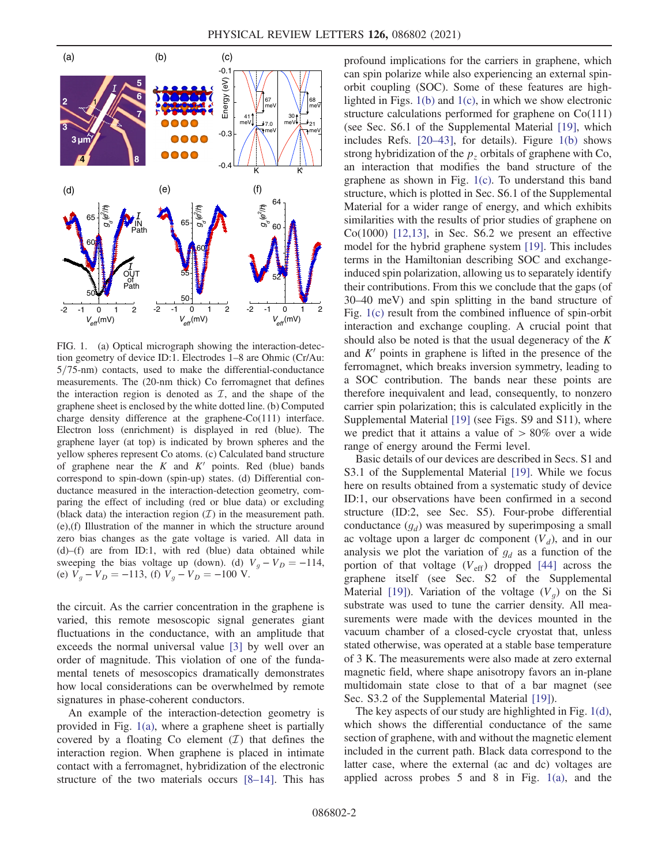<span id="page-3-0"></span>

FIG. 1. (a) Optical micrograph showing the interaction-detection geometry of device ID:1. Electrodes 1–8 are Ohmic (Cr/Au:  $5/75$ -nm) contacts, used to make the differential-conductance measurements. The (20-nm thick) Co ferromagnet that defines the interaction region is denoted as  $\mathcal{I}$ , and the shape of the graphene sheet is enclosed by the white dotted line. (b) Computed charge density difference at the graphene-Co(111) interface. Electron loss (enrichment) is displayed in red (blue). The graphene layer (at top) is indicated by brown spheres and the yellow spheres represent Co atoms. (c) Calculated band structure of graphene near the  $K$  and  $K'$  points. Red (blue) bands correspond to spin-down (spin-up) states. (d) Differential conductance measured in the interaction-detection geometry, comparing the effect of including (red or blue data) or excluding (black data) the interaction region  $(\mathcal{I})$  in the measurement path. (e),(f) Illustration of the manner in which the structure around zero bias changes as the gate voltage is varied. All data in  $(d)$ – $(f)$  are from ID:1, with red (blue) data obtained while sweeping the bias voltage up (down). (d)  $V_g - V_D = -114$ , (e)  $V_g - V_D = -113$ , (f)  $V_g - V_D = -100$  V.

the circuit. As the carrier concentration in the graphene is varied, this remote mesoscopic signal generates giant fluctuations in the conductance, with an amplitude that exceeds the normal universal value [\[3\]](#page-6-4) by well over an order of magnitude. This violation of one of the fundamental tenets of mesoscopics dramatically demonstrates how local considerations can be overwhelmed by remote signatures in phase-coherent conductors.

An example of the interaction-detection geometry is provided in Fig. [1\(a\)](#page-3-0), where a graphene sheet is partially covered by a floating Co element  $(\mathcal{I})$  that defines the interaction region. When graphene is placed in intimate contact with a ferromagnet, hybridization of the electronic structure of the two materials occurs [8–[14\].](#page-6-8) This has profound implications for the carriers in graphene, which can spin polarize while also experiencing an external spinorbit coupling (SOC). Some of these features are highlighted in Figs.  $1(b)$  and  $1(c)$ , in which we show electronic structure calculations performed for graphene on Co(111) (see Sec. S6.1 of the Supplemental Material [\[19\],](#page-7-1) which includes Refs. [\[20](#page-7-2)–43], for details). Figure [1\(b\)](#page-3-0) shows strong hybridization of the  $p<sub>z</sub>$  orbitals of graphene with Co, an interaction that modifies the band structure of the graphene as shown in Fig. [1\(c\).](#page-3-0) To understand this band structure, which is plotted in Sec. S6.1 of the Supplemental Material for a wider range of energy, and which exhibits similarities with the results of prior studies of graphene on  $Co(1000)$  [\[12,13\]](#page-6-9), in Sec. S6.2 we present an effective model for the hybrid graphene system [\[19\].](#page-7-1) This includes terms in the Hamiltonian describing SOC and exchangeinduced spin polarization, allowing us to separately identify their contributions. From this we conclude that the gaps (of 30–40 meV) and spin splitting in the band structure of Fig. [1\(c\)](#page-3-0) result from the combined influence of spin-orbit interaction and exchange coupling. A crucial point that should also be noted is that the usual degeneracy of the  $K$ and  $K'$  points in graphene is lifted in the presence of the ferromagnet, which breaks inversion symmetry, leading to a SOC contribution. The bands near these points are therefore inequivalent and lead, consequently, to nonzero carrier spin polarization; this is calculated explicitly in the Supplemental Material [\[19\]](#page-7-1) (see Figs. S9 and S11), where we predict that it attains a value of  $> 80\%$  over a wide range of energy around the Fermi level.

Basic details of our devices are described in Secs. S1 and S3.1 of the Supplemental Material [\[19\]](#page-7-1). While we focus here on results obtained from a systematic study of device ID:1, our observations have been confirmed in a second structure (ID:2, see Sec. S5). Four-probe differential conductance  $(g_d)$  was measured by superimposing a small ac voltage upon a larger dc component  $(V_d)$ , and in our analysis we plot the variation of  $g_d$  as a function of the portion of that voltage  $(V_{\text{eff}})$  dropped [\[44\]](#page-7-3) across the graphene itself (see Sec. S2 of the Supplemental Material [\[19\]](#page-7-1)). Variation of the voltage  $(V<sub>a</sub>)$  on the Si substrate was used to tune the carrier density. All measurements were made with the devices mounted in the vacuum chamber of a closed-cycle cryostat that, unless stated otherwise, was operated at a stable base temperature of 3 K. The measurements were also made at zero external magnetic field, where shape anisotropy favors an in-plane multidomain state close to that of a bar magnet (see Sec. S3.2 of the Supplemental Material [\[19\]](#page-7-1)).

The key aspects of our study are highlighted in Fig. [1\(d\)](#page-3-0), which shows the differential conductance of the same section of graphene, with and without the magnetic element included in the current path. Black data correspond to the latter case, where the external (ac and dc) voltages are applied across probes  $5$  and  $8$  in Fig. [1\(a\),](#page-3-0) and the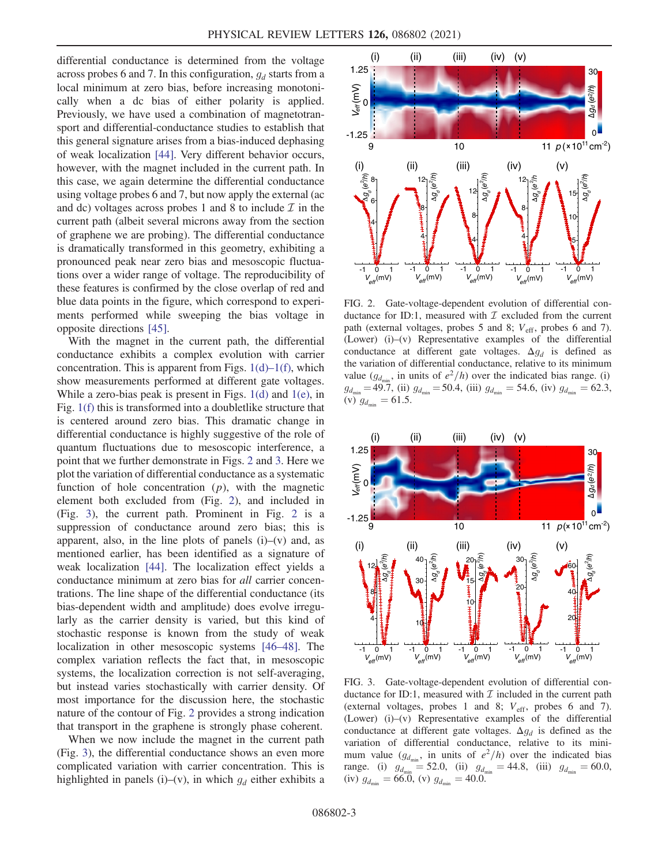differential conductance is determined from the voltage across probes 6 and 7. In this configuration,  $g_d$  starts from a local minimum at zero bias, before increasing monotonically when a dc bias of either polarity is applied. Previously, we have used a combination of magnetotransport and differential-conductance studies to establish that this general signature arises from a bias-induced dephasing of weak localization [\[44\]](#page-7-3). Very different behavior occurs, however, with the magnet included in the current path. In this case, we again determine the differential conductance using voltage probes 6 and 7, but now apply the external (ac and dc) voltages across probes 1 and 8 to include  $\mathcal I$  in the current path (albeit several microns away from the section of graphene we are probing). The differential conductance is dramatically transformed in this geometry, exhibiting a pronounced peak near zero bias and mesoscopic fluctuations over a wider range of voltage. The reproducibility of these features is confirmed by the close overlap of red and blue data points in the figure, which correspond to experiments performed while sweeping the bias voltage in opposite directions [\[45\].](#page-7-4)

With the magnet in the current path, the differential conductance exhibits a complex evolution with carrier concentration. This is apparent from Figs.  $1(d) - 1(f)$  $1(d) - 1(f)$ , which show measurements performed at different gate voltages. While a zero-bias peak is present in Figs. [1\(d\)](#page-3-0) and [1\(e\)](#page-3-0), in Fig. [1\(f\)](#page-3-0) this is transformed into a doubletlike structure that is centered around zero bias. This dramatic change in differential conductance is highly suggestive of the role of quantum fluctuations due to mesoscopic interference, a point that we further demonstrate in Figs. [2](#page-4-0) and [3](#page-4-1). Here we plot the variation of differential conductance as a systematic function of hole concentration  $(p)$ , with the magnetic element both excluded from (Fig. [2\)](#page-4-0), and included in (Fig. [3\)](#page-4-1), the current path. Prominent in Fig. [2](#page-4-0) is a suppression of conductance around zero bias; this is apparent, also, in the line plots of panels  $(i)$ – $(v)$  and, as mentioned earlier, has been identified as a signature of weak localization [\[44\]](#page-7-3). The localization effect yields a conductance minimum at zero bias for all carrier concentrations. The line shape of the differential conductance (its bias-dependent width and amplitude) does evolve irregularly as the carrier density is varied, but this kind of stochastic response is known from the study of weak localization in other mesoscopic systems [46–[48\].](#page-7-5) The complex variation reflects the fact that, in mesoscopic systems, the localization correction is not self-averaging, but instead varies stochastically with carrier density. Of most importance for the discussion here, the stochastic nature of the contour of Fig. [2](#page-4-0) provides a strong indication that transport in the graphene is strongly phase coherent.

When we now include the magnet in the current path (Fig. [3\)](#page-4-1), the differential conductance shows an even more complicated variation with carrier concentration. This is highlighted in panels (i)–(v), in which  $g_d$  either exhibits a

<span id="page-4-0"></span>

FIG. 2. Gate-voltage-dependent evolution of differential conductance for ID:1, measured with  $\mathcal I$  excluded from the current path (external voltages, probes 5 and 8;  $V_{\text{eff}}$ , probes 6 and 7). (Lower) (i)–(v) Representative examples of the differential conductance at different gate voltages.  $\Delta g_d$  is defined as the variation of differential conductance, relative to its minimum value ( $g_{d_{\min}}$ , in units of  $e^2/h$ ) over the indicated bias range. (i)  $g_{d_{\min}} = 49.7$ , (ii)  $g_{d_{\min}} = 50.4$ , (iii)  $g_{d_{\min}} = 54.6$ , (iv)  $g_{d_{\min}} = 62.3$ , (v)  $g_{d_{\min}} = 61.5$ .

<span id="page-4-1"></span>

FIG. 3. Gate-voltage-dependent evolution of differential conductance for ID:1, measured with  $\mathcal I$  included in the current path (external voltages, probes 1 and 8;  $V_{\text{eff}}$ , probes 6 and 7). (Lower) (i)–(v) Representative examples of the differential conductance at different gate voltages.  $\Delta g_d$  is defined as the variation of differential conductance, relative to its minimum value  $(g_{d_{\text{min}}}$ , in units of  $e^2/h$ ) over the indicated bias range. (i)  $g_{d_{\min}} = 52.0$ , (ii)  $g_{d_{\min}} = 44.8$ , (iii)  $g_{d_{\min}} = 60.0$ , (iv)  $g_{d_{\text{min}}} = 66.0$ , (v)  $g_{d_{\text{min}}} = 40.0$ .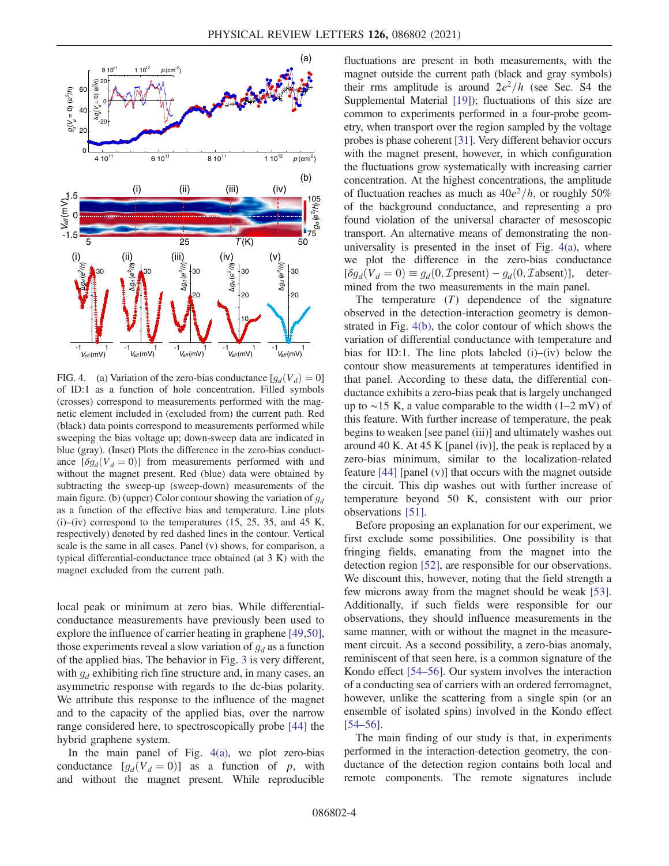<span id="page-5-0"></span>

FIG. 4. (a) Variation of the zero-bias conductance  $[g_d(V_d) = 0]$ of ID:1 as a function of hole concentration. Filled symbols (crosses) correspond to measurements performed with the magnetic element included in (excluded from) the current path. Red (black) data points correspond to measurements performed while sweeping the bias voltage up; down-sweep data are indicated in blue (gray). (Inset) Plots the difference in the zero-bias conductance  $[\delta g_d(V_d = 0)]$  from measurements performed with and without the magnet present. Red (blue) data were obtained by subtracting the sweep-up (sweep-down) measurements of the main figure. (b) (upper) Color contour showing the variation of  $g_d$ as a function of the effective bias and temperature. Line plots  $(i)$ – $(iv)$  correspond to the temperatures  $(15, 25, 35,$  and  $45$  K, respectively) denoted by red dashed lines in the contour. Vertical scale is the same in all cases. Panel (v) shows, for comparison, a typical differential-conductance trace obtained (at 3 K) with the magnet excluded from the current path.

local peak or minimum at zero bias. While differentialconductance measurements have previously been used to explore the influence of carrier heating in graphene [\[49,50\]](#page-7-6), those experiments reveal a slow variation of  $g_d$  as a function of the applied bias. The behavior in Fig. [3](#page-4-1) is very different, with  $g_d$  exhibiting rich fine structure and, in many cases, an asymmetric response with regards to the dc-bias polarity. We attribute this response to the influence of the magnet and to the capacity of the applied bias, over the narrow range considered here, to spectroscopically probe [\[44\]](#page-7-3) the hybrid graphene system.

In the main panel of Fig. [4\(a\),](#page-5-0) we plot zero-bias conductance  $[g_d(V_d = 0)]$  as a function of p, with and without the magnet present. While reproducible fluctuations are present in both measurements, with the magnet outside the current path (black and gray symbols) their rms amplitude is around  $2e^2/h$  (see Sec. S4 the Supplemental Material [\[19\]](#page-7-1)); fluctuations of this size are common to experiments performed in a four-probe geometry, when transport over the region sampled by the voltage probes is phase coherent [\[31\].](#page-7-7) Very different behavior occurs with the magnet present, however, in which configuration the fluctuations grow systematically with increasing carrier concentration. At the highest concentrations, the amplitude of fluctuation reaches as much as  $40e^2/h$ , or roughly 50% of the background conductance, and representing a pro found violation of the universal character of mesoscopic transport. An alternative means of demonstrating the nonuniversality is presented in the inset of Fig.  $4(a)$ , where we plot the difference in the zero-bias conductance  $[\delta g_d(V_d = 0) \equiv g_d(0, \mathcal{I}$ present $) - g_d(0, \mathcal{I}$ absent $)],$  determined from the two measurements in the main panel.

The temperature  $(T)$  dependence of the signature observed in the detection-interaction geometry is demonstrated in Fig. [4\(b\),](#page-5-0) the color contour of which shows the variation of differential conductance with temperature and bias for ID:1. The line plots labeled (i)–(iv) below the contour show measurements at temperatures identified in that panel. According to these data, the differential conductance exhibits a zero-bias peak that is largely unchanged up to ∼15 K, a value comparable to the width (1–2 mV) of this feature. With further increase of temperature, the peak begins to weaken [see panel (iii)] and ultimately washes out around 40 K. At 45 K [panel (iv)], the peak is replaced by a zero-bias minimum, similar to the localization-related feature [\[44\]](#page-7-3) [panel (v)] that occurs with the magnet outside the circuit. This dip washes out with further increase of temperature beyond 50 K, consistent with our prior observations [\[51\]](#page-7-8).

Before proposing an explanation for our experiment, we first exclude some possibilities. One possibility is that fringing fields, emanating from the magnet into the detection region [\[52\]](#page-7-9), are responsible for our observations. We discount this, however, noting that the field strength a few microns away from the magnet should be weak [\[53\]](#page-7-10). Additionally, if such fields were responsible for our observations, they should influence measurements in the same manner, with or without the magnet in the measurement circuit. As a second possibility, a zero-bias anomaly, reminiscent of that seen here, is a common signature of the Kondo effect [\[54](#page-7-11)–56]. Our system involves the interaction of a conducting sea of carriers with an ordered ferromagnet, however, unlike the scattering from a single spin (or an ensemble of isolated spins) involved in the Kondo effect [\[54](#page-7-11)–56].

The main finding of our study is that, in experiments performed in the interaction-detection geometry, the conductance of the detection region contains both local and remote components. The remote signatures include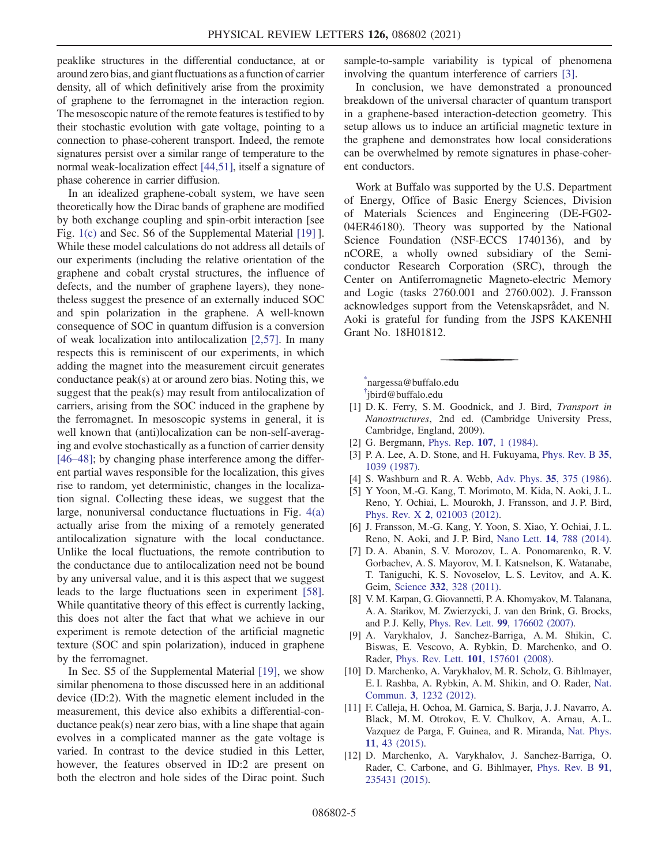peaklike structures in the differential conductance, at or around zero bias, and giant fluctuations as a function of carrier density, all of which definitively arise from the proximity of graphene to the ferromagnet in the interaction region. The mesoscopic nature of the remote features is testified to by their stochastic evolution with gate voltage, pointing to a connection to phase-coherent transport. Indeed, the remote signatures persist over a similar range of temperature to the normal weak-localization effect [\[44,51\]](#page-7-3), itself a signature of phase coherence in carrier diffusion.

In an idealized graphene-cobalt system, we have seen theoretically how the Dirac bands of graphene are modified by both exchange coupling and spin-orbit interaction [see Fig. [1\(c\)](#page-3-0) and Sec. S6 of the Supplemental Material [\[19\]](#page-7-1) ]. While these model calculations do not address all details of our experiments (including the relative orientation of the graphene and cobalt crystal structures, the influence of defects, and the number of graphene layers), they nonetheless suggest the presence of an externally induced SOC and spin polarization in the graphene. A well-known consequence of SOC in quantum diffusion is a conversion of weak localization into antilocalization [\[2,57\]](#page-6-3). In many respects this is reminiscent of our experiments, in which adding the magnet into the measurement circuit generates conductance peak(s) at or around zero bias. Noting this, we suggest that the peak(s) may result from antilocalization of carriers, arising from the SOC induced in the graphene by the ferromagnet. In mesoscopic systems in general, it is well known that (anti)localization can be non-self-averaging and evolve stochastically as a function of carrier density [\[46](#page-7-5)–48]; by changing phase interference among the different partial waves responsible for the localization, this gives rise to random, yet deterministic, changes in the localization signal. Collecting these ideas, we suggest that the large, nonuniversal conductance fluctuations in Fig. [4\(a\)](#page-5-0) actually arise from the mixing of a remotely generated antilocalization signature with the local conductance. Unlike the local fluctuations, the remote contribution to the conductance due to antilocalization need not be bound by any universal value, and it is this aspect that we suggest leads to the large fluctuations seen in experiment [\[58\]](#page-7-12). While quantitative theory of this effect is currently lacking, this does not alter the fact that what we achieve in our experiment is remote detection of the artificial magnetic texture (SOC and spin polarization), induced in graphene by the ferromagnet.

In Sec. S5 of the Supplemental Material [\[19\],](#page-7-1) we show similar phenomena to those discussed here in an additional device (ID:2). With the magnetic element included in the measurement, this device also exhibits a differential-conductance peak(s) near zero bias, with a line shape that again evolves in a complicated manner as the gate voltage is varied. In contrast to the device studied in this Letter, however, the features observed in ID:2 are present on both the electron and hole sides of the Dirac point. Such

sample-to-sample variability is typical of phenomena involving the quantum interference of carriers [\[3\]](#page-6-4).

In conclusion, we have demonstrated a pronounced breakdown of the universal character of quantum transport in a graphene-based interaction-detection geometry. This setup allows us to induce an artificial magnetic texture in the graphene and demonstrates how local considerations can be overwhelmed by remote signatures in phase-coherent conductors.

Work at Buffalo was supported by the U.S. Department of Energy, Office of Basic Energy Sciences, Division of Materials Sciences and Engineering (DE-FG02- 04ER46180). Theory was supported by the National Science Foundation (NSF-ECCS 1740136), and by nCORE, a wholly owned subsidiary of the Semiconductor Research Corporation (SRC), through the Center on Antiferromagnetic Magneto-electric Memory and Logic (tasks 2760.001 and 2760.002). J. Fransson acknowledges support from the Vetenskapsrådet, and N. Aoki is grateful for funding from the JSPS KAKENHI Grant No. 18H01812.

<span id="page-6-1"></span><span id="page-6-0"></span>[\\*](#page-2-0) nargessa@buffalo.edu

<span id="page-6-2"></span>[†](#page-2-1) jbird@buffalo.edu

- [1] D. K. Ferry, S. M. Goodnick, and J. Bird, Transport in Nanostructures, 2nd ed. (Cambridge University Press, Cambridge, England, 2009).
- <span id="page-6-4"></span><span id="page-6-3"></span>[2] G. Bergmann, [Phys. Rep.](https://doi.org/10.1016/0370-1573(84)90103-0) 107, 1 (1984).
- <span id="page-6-5"></span>[3] P. A. Lee, A. D. Stone, and H. Fukuyama, [Phys. Rev. B](https://doi.org/10.1103/PhysRevB.35.1039) 35, [1039 \(1987\)](https://doi.org/10.1103/PhysRevB.35.1039).
- <span id="page-6-6"></span>[4] S. Washburn and R. A. Webb, Adv. Phys. 35[, 375 \(1986\).](https://doi.org/10.1080/00018738600101921)
- [5] Y Yoon, M.-G. Kang, T. Morimoto, M. Kida, N. Aoki, J. L. Reno, Y. Ochiai, L. Mourokh, J. Fransson, and J. P. Bird, Phys. Rev. X 2[, 021003 \(2012\).](https://doi.org/10.1103/PhysRevX.2.021003)
- <span id="page-6-7"></span>[6] J. Fransson, M.-G. Kang, Y. Yoon, S. Xiao, Y. Ochiai, J. L. Reno, N. Aoki, and J. P. Bird, Nano Lett. 14[, 788 \(2014\).](https://doi.org/10.1021/nl404133d)
- [7] D. A. Abanin, S. V. Morozov, L. A. Ponomarenko, R. V. Gorbachev, A. S. Mayorov, M. I. Katsnelson, K. Watanabe, T. Taniguchi, K. S. Novoselov, L. S. Levitov, and A. K. Geim, Science 332[, 328 \(2011\).](https://doi.org/10.1126/science.1199595)
- <span id="page-6-8"></span>[8] V. M. Karpan, G. Giovannetti, P. A. Khomyakov, M. Talanana, A. A. Starikov, M. Zwierzycki, J. van den Brink, G. Brocks, and P. J. Kelly, Phys. Rev. Lett. 99[, 176602 \(2007\).](https://doi.org/10.1103/PhysRevLett.99.176602)
- [9] A. Varykhalov, J. Sanchez-Barriga, A. M. Shikin, C. Biswas, E. Vescovo, A. Rybkin, D. Marchenko, and O. Rader, Phys. Rev. Lett. 101[, 157601 \(2008\).](https://doi.org/10.1103/PhysRevLett.101.157601)
- [10] D. Marchenko, A. Varykhalov, M. R. Scholz, G. Bihlmayer, E. I. Rashba, A. Rybkin, A. M. Shikin, and O. Rader, [Nat.](https://doi.org/10.1038/ncomms2227) Commun. 3[, 1232 \(2012\).](https://doi.org/10.1038/ncomms2227)
- [11] F. Calleja, H. Ochoa, M. Garnica, S. Barja, J. J. Navarro, A. Black, M. M. Otrokov, E. V. Chulkov, A. Arnau, A. L. Vazquez de Parga, F. Guinea, and R. Miranda, [Nat. Phys.](https://doi.org/10.1038/nphys3173) 11[, 43 \(2015\).](https://doi.org/10.1038/nphys3173)
- <span id="page-6-9"></span>[12] D. Marchenko, A. Varykhalov, J. Sanchez-Barriga, O. Rader, C. Carbone, and G. Bihlmayer, [Phys. Rev. B](https://doi.org/10.1103/PhysRevB.91.235431) 91, [235431 \(2015\).](https://doi.org/10.1103/PhysRevB.91.235431)